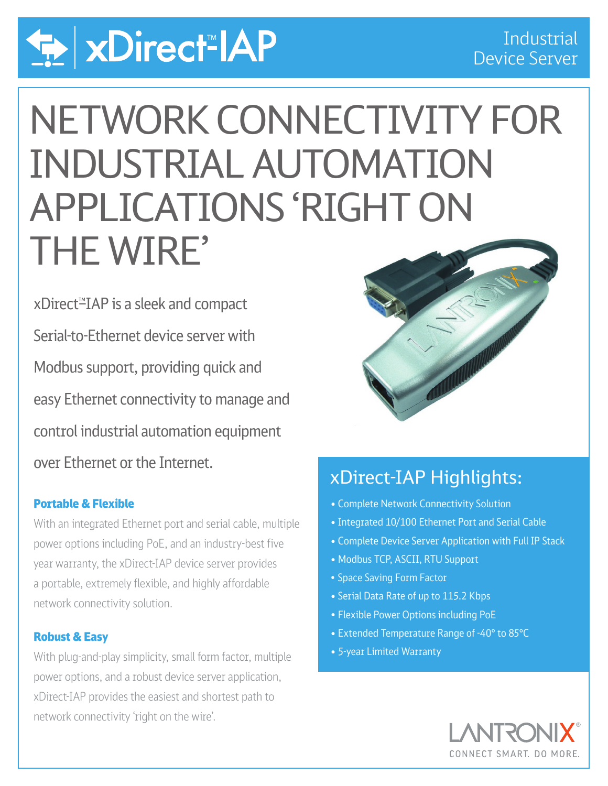

# NETWORK CONNECTIVITY FOR INDUSTRIAL AUTOMATION APPLICATIONS 'RIGHT ON THE WIRE'

xDirect<sup>™</sup>IAP is a sleek and compact Serial-to-Ethernet device server with Modbus support, providing quick and easy Ethernet connectivity to manage and control industrial automation equipment over Ethernet or the Internet.

## Portable & Flexible

 With an integrated Ethernet port and serial cable, multiple power options including PoE, and an industry-best five year warranty, the xDirect-IAP device server provides a portable, extremely flexible, and highly affordable network connectivity solution.

### Robust & Easy

With plug-and-play simplicity, small form factor, multiple power options, and a robust device server application, xDirect-IAP provides the easiest and shortest path to network connectivity 'right on the wire'.



# xDirect-IAP Highlights:

- Complete Network Connectivity Solution
- Integrated 10/100 Ethernet Port and Serial Cable
- Complete Device Server Application with Full IP Stack
- Modbus TCP, ASCII, RTU Support
- Space Saving Form Factor
- Serial Data Rate of up to 115.2 Kbps
- Flexible Power Options including PoE
- Extended Temperature Range of -40° to 85°C
- 5-year Limited Warranty